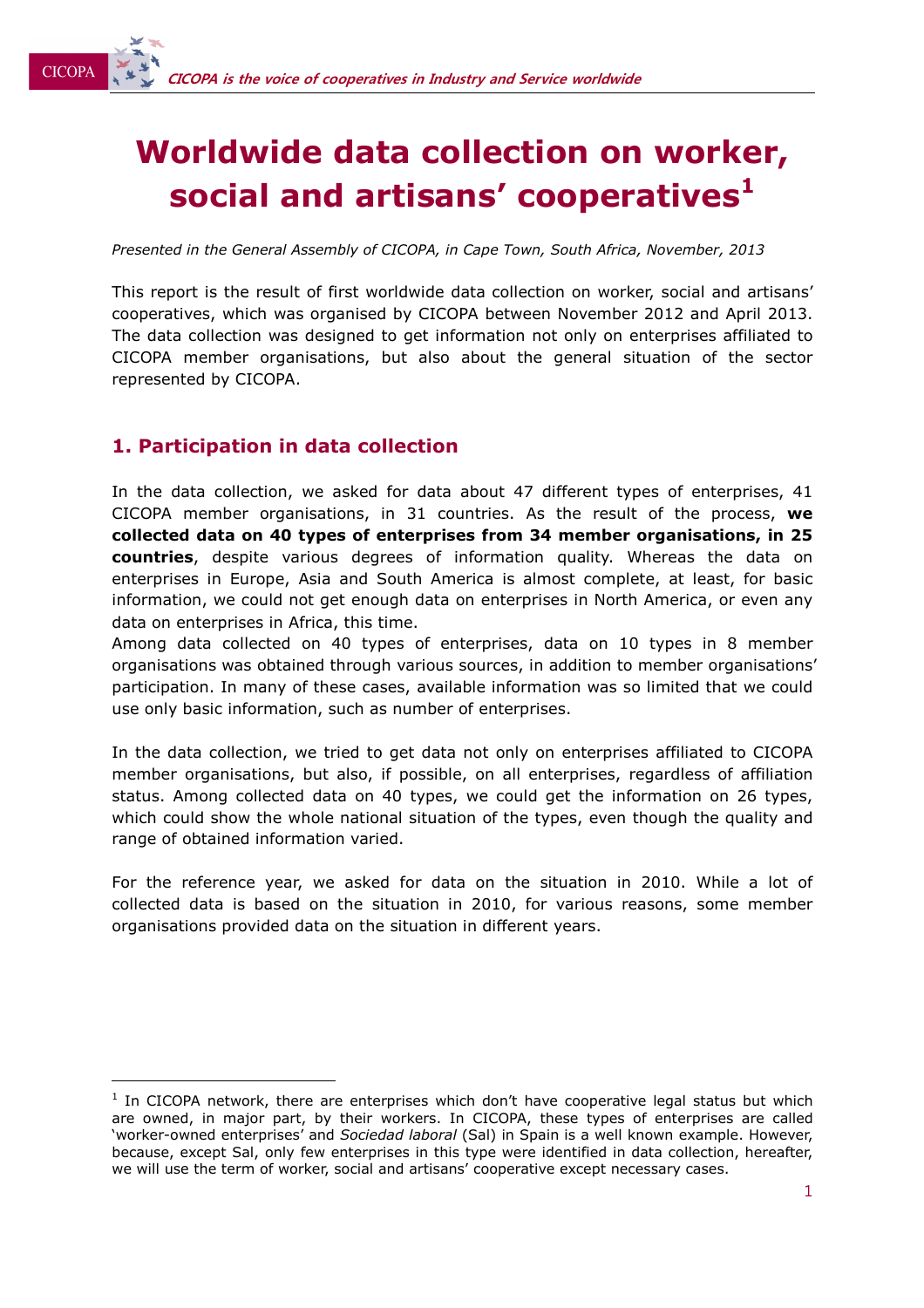# **Worldwide data collection on worker, social and artisans' cooperatives<sup>1</sup>**

*Presented in the General Assembly of CICOPA, in Cape Town, South Africa, November, 2013* 

This report is the result of first worldwide data collection on worker, social and artisans' cooperatives, which was organised by CICOPA between November 2012 and April 2013. The data collection was designed to get information not only on enterprises affiliated to CICOPA member organisations, but also about the general situation of the sector represented by CICOPA.

## **1. Participation in data collection**

In the data collection, we asked for data about 47 different types of enterprises, 41 CICOPA member organisations, in 31 countries. As the result of the process, **we collected data on 40 types of enterprises from 34 member organisations, in 25 countries**, despite various degrees of information quality. Whereas the data on enterprises in Europe, Asia and South America is almost complete, at least, for basic information, we could not get enough data on enterprises in North America, or even any data on enterprises in Africa, this time.

Among data collected on 40 types of enterprises, data on 10 types in 8 member organisations was obtained through various sources, in addition to member organisations' participation. In many of these cases, available information was so limited that we could use only basic information, such as number of enterprises.

In the data collection, we tried to get data not only on enterprises affiliated to CICOPA member organisations, but also, if possible, on all enterprises, regardless of affiliation status. Among collected data on 40 types, we could get the information on 26 types, which could show the whole national situation of the types, even though the quality and range of obtained information varied.

For the reference year, we asked for data on the situation in 2010. While a lot of collected data is based on the situation in 2010, for various reasons, some member organisations provided data on the situation in different years.

 $1$  In CICOPA network, there are enterprises which don't have cooperative legal status but which are owned, in major part, by their workers. In CICOPA, these types of enterprises are called 'worker-owned enterprises' and *Sociedad laboral* (Sal) in Spain is a well known example. However, because, except Sal, only few enterprises in this type were identified in data collection, hereafter, we will use the term of worker, social and artisans' cooperative except necessary cases.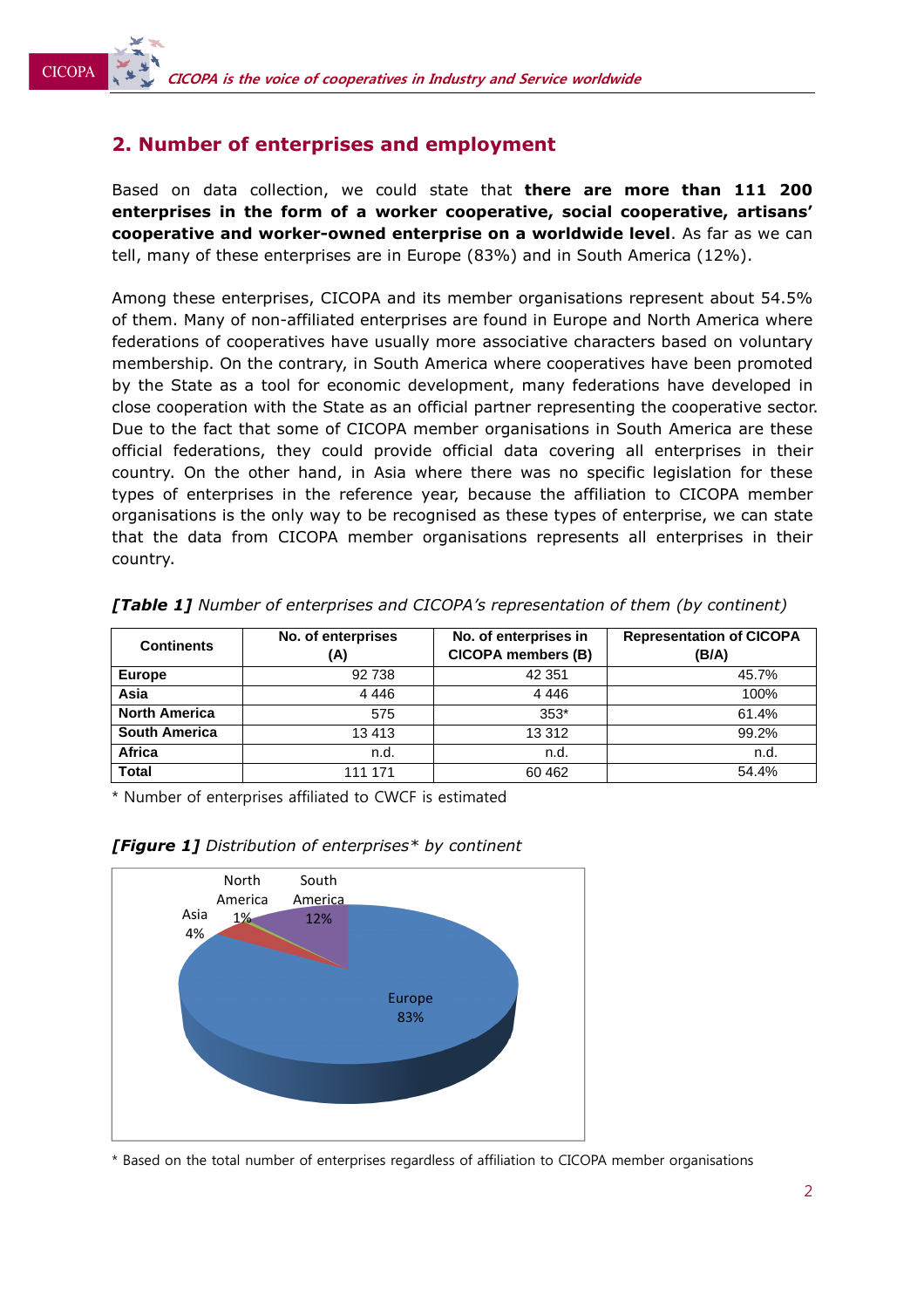### **2. Number of enterprises and employment**

**CICOPA** 

Based on data collection, we could state that **there are more than 111 200 enterprises in the form of a worker cooperative, social cooperative, artisans' cooperative and worker-owned enterprise on a worldwide level**. As far as we can tell, many of these enterprises are in Europe (83%) and in South America (12%).

Among these enterprises, CICOPA and its member organisations represent about 54.5% of them. Many of non-affiliated enterprises are found in Europe and North America where federations of cooperatives have usually more associative characters based on voluntary membership. On the contrary, in South America where cooperatives have been promoted by the State as a tool for economic development, many federations have developed in close cooperation with the State as an official partner representing the cooperative sector. Due to the fact that some of CICOPA member organisations in South America are these official federations, they could provide official data covering all enterprises in their country. On the other hand, in Asia where there was no specific legislation for these types of enterprises in the reference year, because the affiliation to CICOPA member organisations is the only way to be recognised as these types of enterprise, we can state that the data from CICOPA member organisations represents all enterprises in their country.

| <b>Continents</b>    | No. of enterprises<br>(A) | No. of enterprises in<br><b>CICOPA members (B)</b> | <b>Representation of CICOPA</b><br>(B/A) |
|----------------------|---------------------------|----------------------------------------------------|------------------------------------------|
| <b>Europe</b>        | 92 738                    | 42 351                                             | 45.7%                                    |
| Asia                 | 4446                      | 4 4 4 6                                            | 100%                                     |
| <b>North America</b> | 575                       | $353*$                                             | 61.4%                                    |
| <b>South America</b> | 13413                     | 13 3 12                                            | 99.2%                                    |
| <b>Africa</b>        | n.d.                      | n.d.                                               | n.d.                                     |
| <b>Total</b>         | 111 171                   | 60 4 62                                            | 54.4%                                    |

*[Table 1] Number of enterprises and CICOPA's representation of them (by continent)* 

\* Number of enterprises affiliated to CWCF is estimated



#### *[Figure 1] Distribution of enterprises\* by continent*

\* Based on the total number of enterprises regardless of affiliation to CICOPA member organisations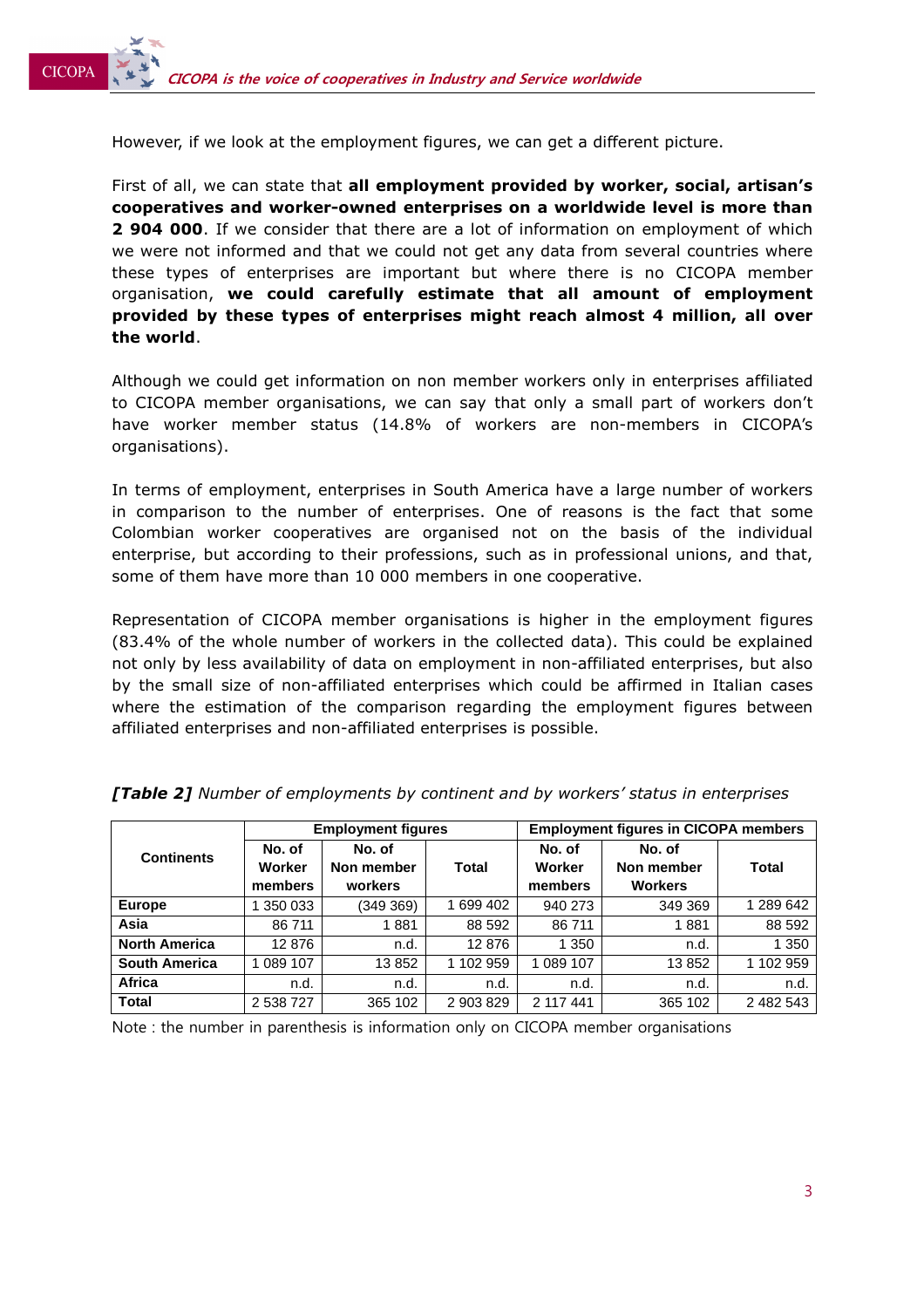**CICOPA** 

However, if we look at the employment figures, we can get a different picture.

First of all, we can state that **all employment provided by worker, social, artisan's cooperatives and worker-owned enterprises on a worldwide level is more than 2 904 000**. If we consider that there are a lot of information on employment of which we were not informed and that we could not get any data from several countries where these types of enterprises are important but where there is no CICOPA member organisation, **we could carefully estimate that all amount of employment provided by these types of enterprises might reach almost 4 million, all over the world**.

Although we could get information on non member workers only in enterprises affiliated to CICOPA member organisations, we can say that only a small part of workers don't have worker member status (14.8% of workers are non-members in CICOPA's organisations).

In terms of employment, enterprises in South America have a large number of workers in comparison to the number of enterprises. One of reasons is the fact that some Colombian worker cooperatives are organised not on the basis of the individual enterprise, but according to their professions, such as in professional unions, and that, some of them have more than 10 000 members in one cooperative.

Representation of CICOPA member organisations is higher in the employment figures (83.4% of the whole number of workers in the collected data). This could be explained not only by less availability of data on employment in non-affiliated enterprises, but also by the small size of non-affiliated enterprises which could be affirmed in Italian cases where the estimation of the comparison regarding the employment figures between affiliated enterprises and non-affiliated enterprises is possible.

|                      | <b>Employment figures</b> |            |           | <b>Employment figures in CICOPA members</b> |                |           |
|----------------------|---------------------------|------------|-----------|---------------------------------------------|----------------|-----------|
| <b>Continents</b>    | No. of                    | No. of     |           | No. of                                      | No. of         |           |
|                      | Worker                    | Non member | Total     | Worker                                      | Non member     | Total     |
|                      | members                   | workers    |           | members                                     | <b>Workers</b> |           |
| <b>Europe</b>        | 350 033                   | (349 369)  | 1 699 402 | 940 273                                     | 349 369        | 1 289 642 |
| Asia                 | 86 711                    | 1881       | 88 592    | 86 711                                      | 1881           | 88 592    |
| <b>North America</b> | 12876                     | n.d.       | 12876     | 1 350                                       | n.d.           | 1 350     |
| <b>South America</b> | 089 107                   | 13852      | 1 102 959 | 1 089 107                                   | 13852          | 1 102 959 |
| Africa               | n.d.                      | n.d.       | n.d.      | n.d.                                        | n.d.           | n.d.      |
| <b>Total</b>         | 2 538 727                 | 365 102    | 2 903 829 | 2 117 441                                   | 365 102        | 2 482 543 |

*[Table 2] Number of employments by continent and by workers' status in enterprises* 

Note : the number in parenthesis is information only on CICOPA member organisations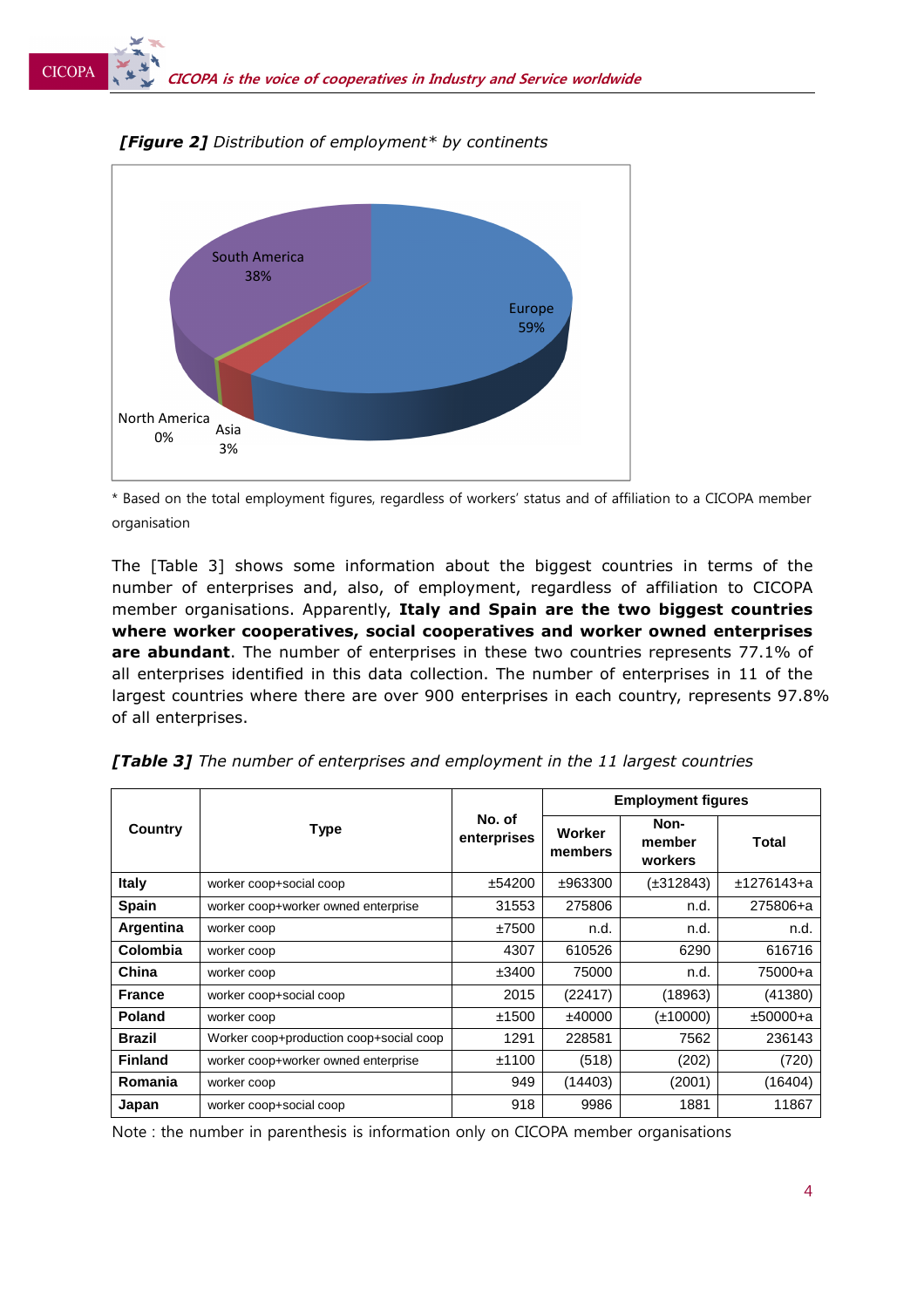

*[Figure 2] Distribution of employment\* by continents* 

\* Based on the total employment figures, regardless of workers' status and of affiliation to a CICOPA member organisation

The [Table 3] shows some information about the biggest countries in terms of the number of enterprises and, also, of employment, regardless of affiliation to CICOPA member organisations. Apparently, **Italy and Spain are the two biggest countries where worker cooperatives, social cooperatives and worker owned enterprises are abundant**. The number of enterprises in these two countries represents 77.1% of all enterprises identified in this data collection. The number of enterprises in 11 of the largest countries where there are over 900 enterprises in each country, represents 97.8% of all enterprises.

|                | <b>Type</b>                             |                       | <b>Employment figures</b> |                           |            |
|----------------|-----------------------------------------|-----------------------|---------------------------|---------------------------|------------|
| Country        |                                         | No. of<br>enterprises | Worker<br>members         | Non-<br>member<br>workers | Total      |
| <b>Italy</b>   | worker coop+social coop                 | ±54200                | ±963300                   | (±312843)                 | ±1276143+a |
| <b>Spain</b>   | worker coop+worker owned enterprise     | 31553                 | 275806                    | n.d.                      | 275806+a   |
| Argentina      | worker coop                             | ±7500                 | n.d.                      | n.d.                      | n.d.       |
| Colombia       | worker coop                             | 4307                  | 610526                    | 6290                      | 616716     |
| China          | worker coop                             | ±3400                 | 75000                     | n.d.                      | 75000+a    |
| <b>France</b>  | worker coop+social coop                 | 2015                  | (22417)                   | (18963)                   | (41380)    |
| <b>Poland</b>  | worker coop                             | ±1500                 | ±40000                    | (±10000)                  | $±50000+a$ |
| <b>Brazil</b>  | Worker coop+production coop+social coop | 1291                  | 228581                    | 7562                      | 236143     |
| <b>Finland</b> | worker coop+worker owned enterprise     | ±1100                 | (518)                     | (202)                     | (720)      |
| Romania        | worker coop                             | 949                   | (14403)                   | (2001)                    | (16404)    |
| Japan          | worker coop+social coop                 | 918                   | 9986                      | 1881                      | 11867      |

*[Table 3] The number of enterprises and employment in the 11 largest countries* 

Note : the number in parenthesis is information only on CICOPA member organisations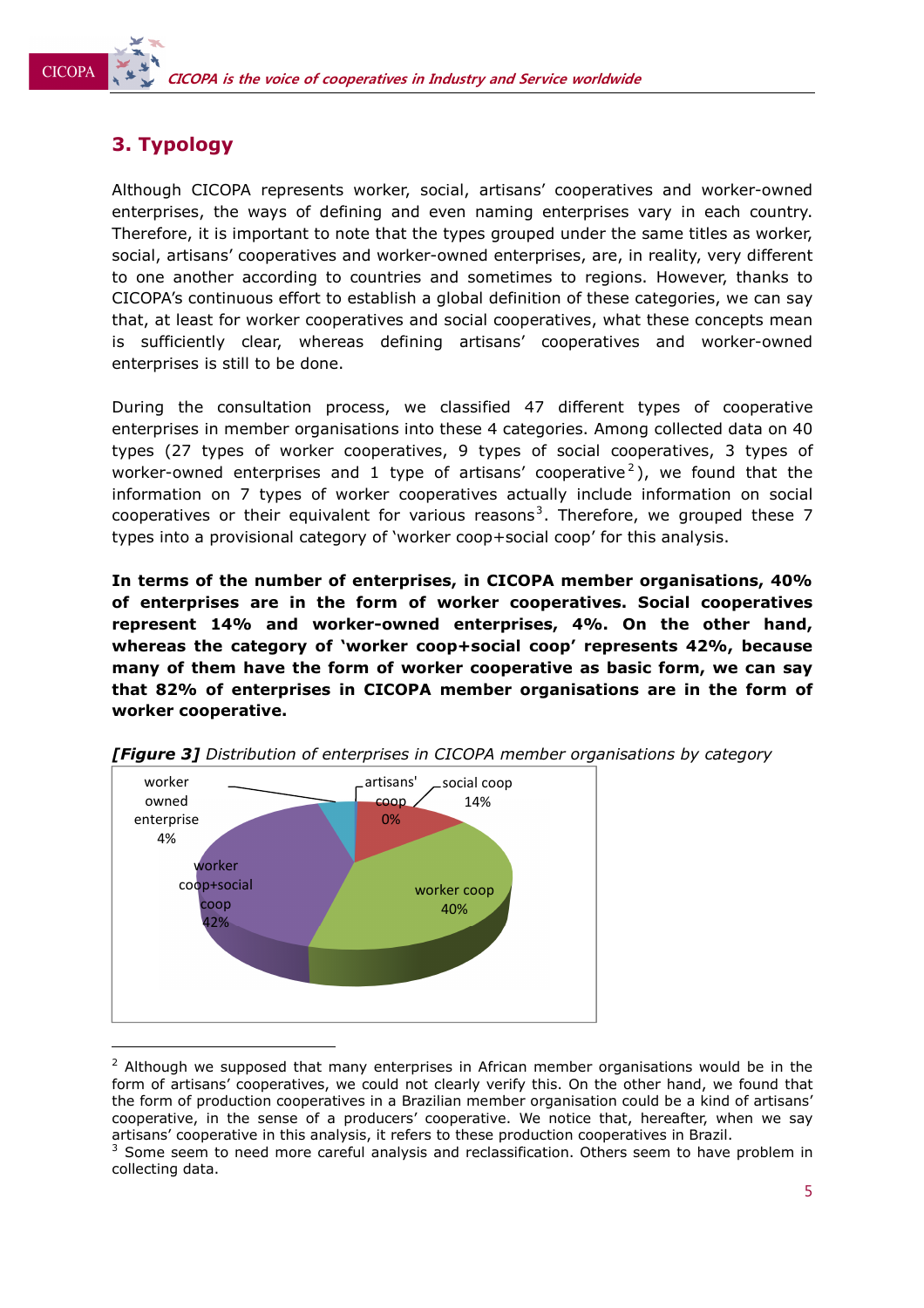# **3. Typology**

**CICOPA** 

Although CICOPA represents worker, social, artisans' cooperatives and worker-owned enterprises, the ways of defining and even naming enterprises vary in each country. Therefore, it is important to note that the types grouped under the same titles as worker, social, artisans' cooperatives and worker-owned enterprises, are, in reality, very different to one another according to countries and sometimes to regions. However, thanks to CICOPA's continuous effort to establish a global definition of these categories, we can say that, at least for worker cooperatives and social cooperatives, what these concepts mean is sufficiently clear, whereas defining artisans' cooperatives and worker-owned enterprises is still to be done.

During the consultation process, we classified 47 different types of cooperative enterprises in member organisations into these 4 categories. Among collected data on 40 types (27 types of worker cooperatives, 9 types of social cooperatives, 3 types of worker-owned enterprises and 1 type of artisans' cooperative<sup>2</sup>), we found that the information on 7 types of worker cooperatives actually include information on social cooperatives or their equivalent for various reasons<sup>3</sup>. Therefore, we grouped these 7 types into a provisional category of 'worker coop+social coop' for this analysis.

**In terms of the number of enterprises, in CICOPA member organisations, 40% of enterprises are in the form of worker cooperatives. Social cooperatives represent 14% and worker-owned enterprises, 4%. On the other hand, whereas the category of 'worker coop+social coop' represents 42%, because many of them have the form of worker cooperative as basic form, we can say that 82% of enterprises in CICOPA member organisations are in the form of worker cooperative.** 



*[Figure 3] Distribution of enterprises in CICOPA member organisations by category* 

 $2$  Although we supposed that many enterprises in African member organisations would be in the form of artisans' cooperatives, we could not clearly verify this. On the other hand, we found that the form of production cooperatives in a Brazilian member organisation could be a kind of artisans' cooperative, in the sense of a producers' cooperative. We notice that, hereafter, when we say artisans' cooperative in this analysis, it refers to these production cooperatives in Brazil.

 $3$  Some seem to need more careful analysis and reclassification. Others seem to have problem in collecting data.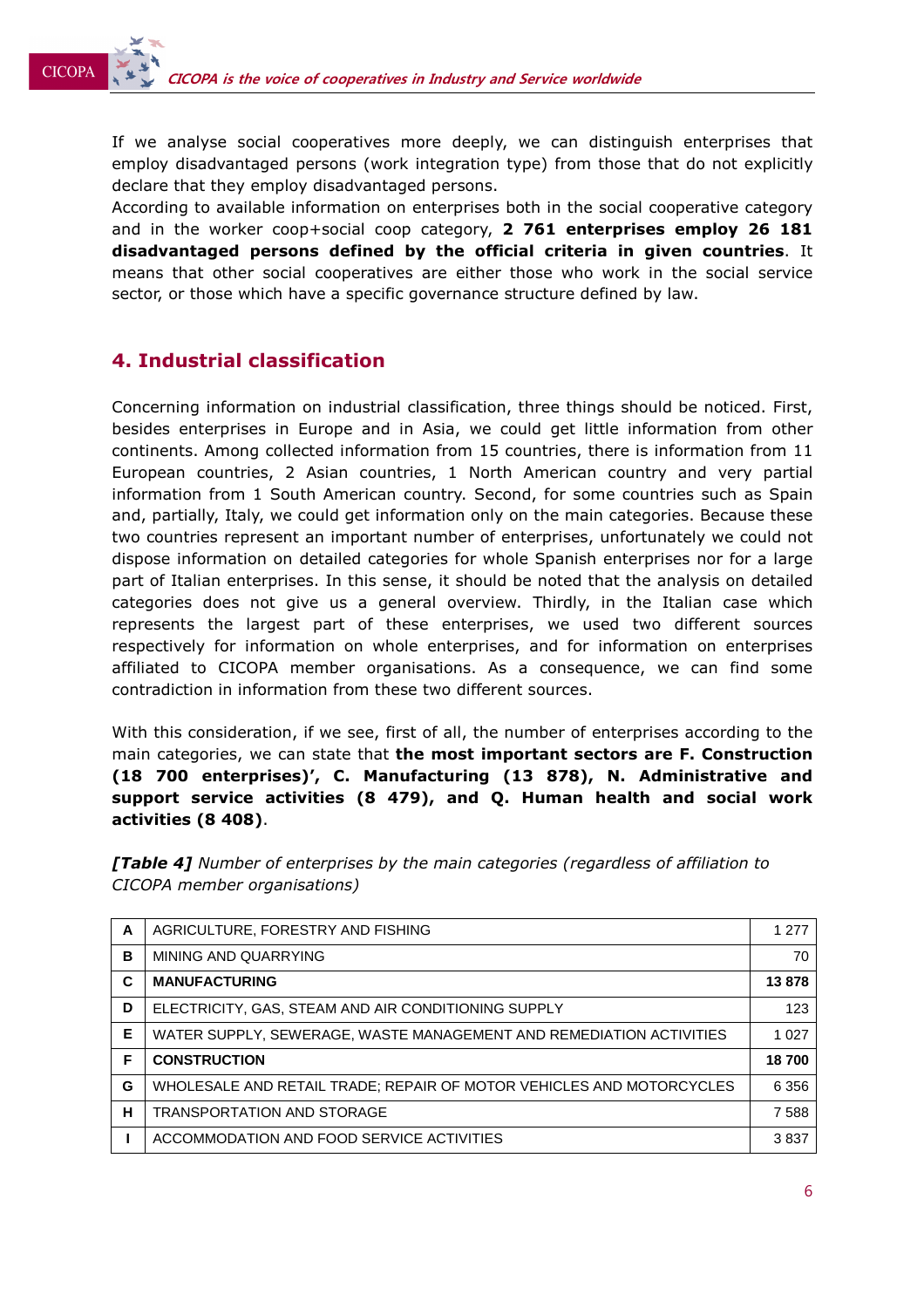If we analyse social cooperatives more deeply, we can distinguish enterprises that employ disadvantaged persons (work integration type) from those that do not explicitly declare that they employ disadvantaged persons.

According to available information on enterprises both in the social cooperative category and in the worker coop+social coop category, **2 761 enterprises employ 26 181 disadvantaged persons defined by the official criteria in given countries**. It means that other social cooperatives are either those who work in the social service sector, or those which have a specific governance structure defined by law.

## **4. Industrial classification**

**CICOPA** 

Concerning information on industrial classification, three things should be noticed. First, besides enterprises in Europe and in Asia, we could get little information from other continents. Among collected information from 15 countries, there is information from 11 European countries, 2 Asian countries, 1 North American country and very partial information from 1 South American country. Second, for some countries such as Spain and, partially, Italy, we could get information only on the main categories. Because these two countries represent an important number of enterprises, unfortunately we could not dispose information on detailed categories for whole Spanish enterprises nor for a large part of Italian enterprises. In this sense, it should be noted that the analysis on detailed categories does not give us a general overview. Thirdly, in the Italian case which represents the largest part of these enterprises, we used two different sources respectively for information on whole enterprises, and for information on enterprises affiliated to CICOPA member organisations. As a consequence, we can find some contradiction in information from these two different sources.

With this consideration, if we see, first of all, the number of enterprises according to the main categories, we can state that **the most important sectors are F. Construction (18 700 enterprises)', C. Manufacturing (13 878), N. Administrative and support service activities (8 479), and Q. Human health and social work activities (8 408)**.

*[Table 4] Number of enterprises by the main categories (regardless of affiliation to CICOPA member organisations)* 

| A | AGRICULTURE, FORESTRY AND FISHING                                    | 1 2 7 7 |
|---|----------------------------------------------------------------------|---------|
| в | MINING AND QUARRYING                                                 | 70      |
| C | <b>MANUFACTURING</b>                                                 | 13878   |
| D | ELECTRICITY, GAS, STEAM AND AIR CONDITIONING SUPPLY                  | 123     |
| Е | WATER SUPPLY, SEWERAGE, WASTE MANAGEMENT AND REMEDIATION ACTIVITIES  | 1 0 2 7 |
| F | <b>CONSTRUCTION</b>                                                  | 18700   |
| G | WHOLESALE AND RETAIL TRADE; REPAIR OF MOTOR VEHICLES AND MOTORCYCLES | 6 3 5 6 |
| H | <b>TRANSPORTATION AND STORAGE</b>                                    | 7588    |
|   | ACCOMMODATION AND FOOD SERVICE ACTIVITIES                            | 3837    |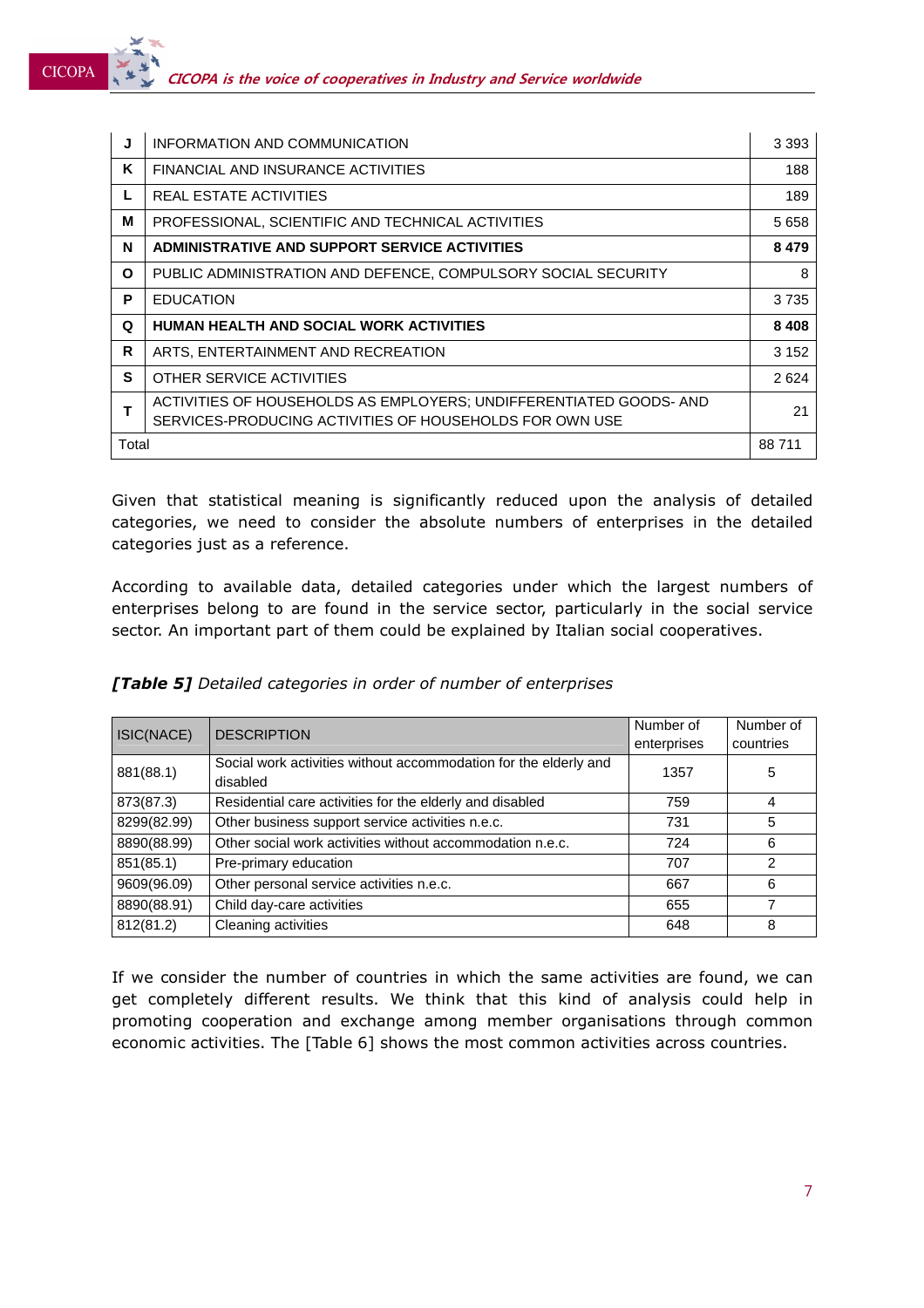**CICOPA** 

| J     | INFORMATION AND COMMUNICATION                                                                                                 | 3 3 9 3 |
|-------|-------------------------------------------------------------------------------------------------------------------------------|---------|
| Κ     | FINANCIAL AND INSURANCE ACTIVITIES                                                                                            | 188     |
| L     | REAL ESTATE ACTIVITIES                                                                                                        | 189     |
| M     | PROFESSIONAL, SCIENTIFIC AND TECHNICAL ACTIVITIES                                                                             | 5 6 5 8 |
| N     | ADMINISTRATIVE AND SUPPORT SERVICE ACTIVITIES                                                                                 | 8 4 7 9 |
| O     | PUBLIC ADMINISTRATION AND DEFENCE, COMPULSORY SOCIAL SECURITY                                                                 | 8       |
| P     | <b>EDUCATION</b>                                                                                                              | 3735    |
| Q     | <b>HUMAN HEALTH AND SOCIAL WORK ACTIVITIES</b>                                                                                | 8 4 0 8 |
| R     | ARTS, ENTERTAINMENT AND RECREATION                                                                                            | 3 1 5 2 |
| S     | OTHER SERVICE ACTIVITIES                                                                                                      | 2624    |
|       | ACTIVITIES OF HOUSEHOLDS AS EMPLOYERS; UNDIFFERENTIATED GOODS- AND<br>SERVICES-PRODUCING ACTIVITIES OF HOUSEHOLDS FOR OWN USE | 21      |
| Total |                                                                                                                               | 88711   |

Given that statistical meaning is significantly reduced upon the analysis of detailed categories, we need to consider the absolute numbers of enterprises in the detailed categories just as a reference.

According to available data, detailed categories under which the largest numbers of enterprises belong to are found in the service sector, particularly in the social service sector. An important part of them could be explained by Italian social cooperatives.

|  | <b>[Table 5]</b> Detailed categories in order of number of enterprises |
|--|------------------------------------------------------------------------|
|--|------------------------------------------------------------------------|

| ISIC(NACE)  | <b>DESCRIPTION</b>                                                           | Number of   | Number of |
|-------------|------------------------------------------------------------------------------|-------------|-----------|
|             |                                                                              | enterprises | countries |
| 881(88.1)   | Social work activities without accommodation for the elderly and<br>disabled | 1357        | 5         |
| 873(87.3)   | Residential care activities for the elderly and disabled                     | 759         | 4         |
| 8299(82.99) | Other business support service activities n.e.c.                             | 731         | 5         |
| 8890(88.99) | Other social work activities without accommodation n.e.c.                    | 724         | 6         |
| 851(85.1)   | Pre-primary education                                                        | 707         | 2         |
| 9609(96.09) | Other personal service activities n.e.c.                                     | 667         | 6         |
| 8890(88.91) | Child day-care activities                                                    | 655         | 7         |
| 812(81.2)   | Cleaning activities                                                          | 648         | 8         |

If we consider the number of countries in which the same activities are found, we can get completely different results. We think that this kind of analysis could help in promoting cooperation and exchange among member organisations through common economic activities. The [Table 6] shows the most common activities across countries.